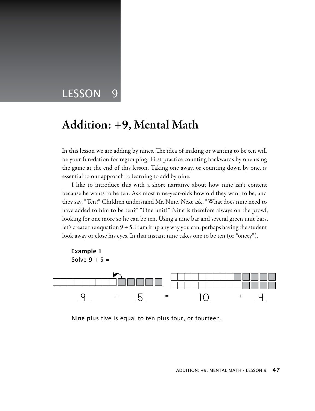# LESSON 9

# Addition: +9, Mental Math

In this lesson we are adding by nines. The idea of making or wanting to be ten will be your fun-dation for regrouping. First practice counting backwards by one using the game at the end of this lesson. Taking one away, or counting down by one, is essential to our approach to learning to add by nine.

I like to introduce this with a short narrative about how nine isn't content because he wants to be ten. Ask most nine-year-olds how old they want to be, and they say, "Ten!" Children understand Mr. Nine. Next ask, "What does nine need to have added to him to be ten?" "One unit!" Nine is therefore always on the prowl, looking for one more so he can be ten. Using a nine bar and several green unit bars, let's create the equation 9 + 5. Ham it up any way you can, perhaps having the student look away or close his eyes. In that instant nine takes one to be ten (or "onety").



Nine plus five is equal to ten plus four, or fourteen.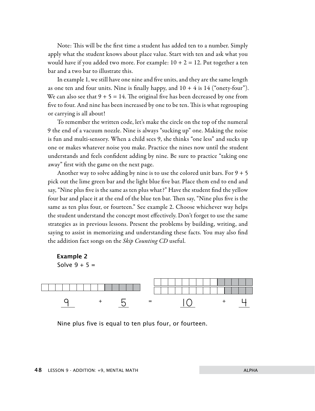Note: This will be the first time a student has added ten to a number. Simply apply what the student knows about place value. Start with ten and ask what you would have if you added two more. For example:  $10 + 2 = 12$ . Put together a ten bar and a two bar to illustrate this.

In example 1, we still have one nine and five units, and they are the same length as one ten and four units. Nine is finally happy, and  $10 + 4$  is  $14$  ("onety-four"). We can also see that  $9 + 5 = 14$ . The original five has been decreased by one from five to four. And nine has been increased by one to be ten. This is what regrouping or carrying is all about!

To remember the written code, let's make the circle on the top of the numeral 9 the end of a vacuum nozzle. Nine is always "sucking up" one. Making the noise is fun and multi-sensory. When a child sees 9, she thinks "one less" and sucks up one or makes whatever noise you make. Practice the nines now until the student understands and feels confident adding by nine. Be sure to practice "taking one away" first with the game on the next page.

Another way to solve adding by nine is to use the colored unit bars. For  $9 + 5$ pick out the lime green bar and the light blue five bar. Place them end to end and say, "Nine plus five is the same as ten plus what?" Have the student find the yellow four bar and place it at the end of the blue ten bar. Then say, "Nine plus five is the same as ten plus four, or fourteen." See example 2. Choose whichever way helps the student understand the concept most effectively. Don't forget to use the same strategies as in previous lessons. Present the problems by building, writing, and saying to assist in memorizing and understanding these facts. You may also find the addition fact songs on the *Skip Counting CD* useful.

#### Example 2 Solve  $9 + 5 =$



Nine plus five is equal to ten plus four, or fourteen.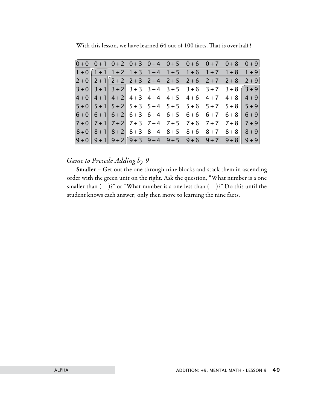|  |  |  |  | $[0+0 \t 0+1 \t 0+2 \t 0+3 \t 0+4 \t 0+5 \t 0+6 \t 0+7 \t 0+8 \t 0+9]$ |  |
|--|--|--|--|------------------------------------------------------------------------|--|
|  |  |  |  | $1+0$ $1+1$ $1+2$ $1+3$ $1+4$ $1+5$ $1+6$ $1+7$ $1+8$ $1+9$            |  |
|  |  |  |  | $2+0$ 2+1 $2+2$ 2+3 2+4 2+5 2+6 2+7 2+8 2+9                            |  |
|  |  |  |  | $3+0$ 3 + 1 3 + 2 3 + 3 3 + 4 3 + 5 3 + 6 3 + 7 3 + 8 3 + 9            |  |
|  |  |  |  | $4+0$ 4 + 1 4 + 2 4 + 3 4 + 4 4 + 5 4 + 6 4 + 7 4 + 8 4 + 9            |  |
|  |  |  |  | $5+0$ $5+1$ $5+2$ $5+3$ $5+4$ $5+5$ $5+6$ $5+7$ $5+8$ $5+9$            |  |
|  |  |  |  | $6+0$ 6 + 1 6 + 2 6 + 3 6 + 4 6 + 5 6 + 6 6 + 7 6 + 8 6 + 9            |  |
|  |  |  |  | $7+0$ 7+1 7+2 7+3 7+4 7+5 7+6 7+7 7+8 7+9                              |  |
|  |  |  |  | $8+0$ $8+1$ $8+2$ $8+3$ $8+4$ $8+5$ $8+6$ $8+7$ $8+8$ $8+9$            |  |
|  |  |  |  | $9+0$ 9 + 1 9 + 2 9 + 3 9 + 4 9 + 5 9 + 6 9 + 7 9 + 8 9 + 9            |  |

With this lesson, we have learned 64 out of 100 facts. That is over half !

#### *Game to Precede Adding by 9*

Smaller – Get out the one through nine blocks and stack them in ascending order with the green unit on the right. Ask the question, "What number is a one smaller than  $( )$ ?" or "What number is a one less than  $( )$ ?" Do this until the student knows each answer; only then move to learning the nine facts.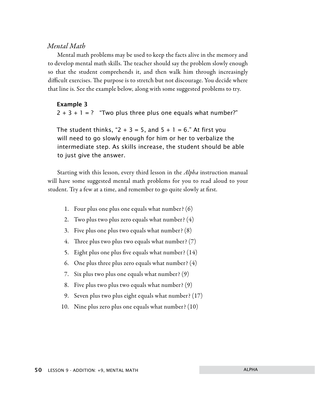#### *Mental Math*

Mental math problems may be used to keep the facts alive in the memory and to develop mental math skills. The teacher should say the problem slowly enough so that the student comprehends it, and then walk him through increasingly difficult exercises. The purpose is to stretch but not discourage. You decide where that line is. See the example below, along with some suggested problems to try.

#### Example 3

 $2 + 3 + 1 =$ ? "Two plus three plus one equals what number?"

The student thinks, " $2 + 3 = 5$ , and  $5 + 1 = 6$ ." At first you will need to go slowly enough for him or her to verbalize the intermediate step. As skills increase, the student should be able to just give the answer.

Starting with this lesson, every third lesson in the *Alpha* instruction manual will have some suggested mental math problems for you to read aloud to your student. Try a few at a time, and remember to go quite slowly at first.

- 1. Four plus one plus one equals what number? (6)
- 2. Two plus two plus zero equals what number? (4)
- 3. Five plus one plus two equals what number? (8)
- 4. Three plus two plus two equals what number? (7)
- 5. Eight plus one plus five equals what number? (14)
- 6. One plus three plus zero equals what number? (4)
- 7. Six plus two plus one equals what number? (9)
- 8. Five plus two plus two equals what number? (9)
- 9. Seven plus two plus eight equals what number? (17)
- 10. Nine plus zero plus one equals what number? (10)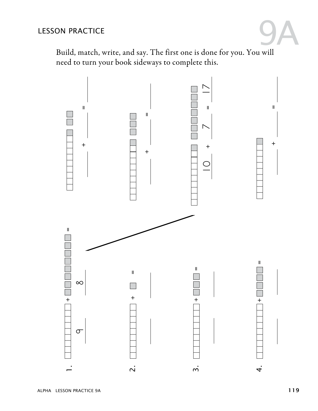## LESSON PRACTICE



Build, match, write, and say. The first one is done for you. You will need to turn your book sideways to complete this.

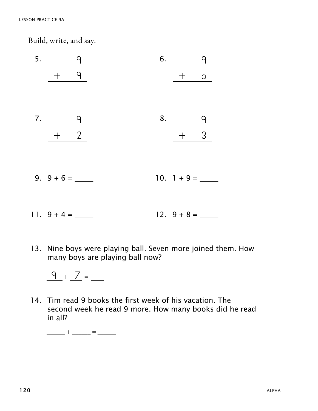Build, write, and say.

| 5. | 9     | 6. |               | 9              |
|----|-------|----|---------------|----------------|
|    | $+$ 9 |    | $+ 5$         |                |
|    |       |    |               |                |
|    | 7.9   |    | 8.            | $\overline{q}$ |
|    | $+$ 2 |    | $+ 3$         |                |
|    |       |    |               |                |
|    |       |    | 10. $1 + 9 =$ |                |
|    |       |    |               |                |
|    |       |    | $12. 9 + 8 =$ |                |

13. Nine boys were playing ball. Seven more joined them. How many boys are playing ball now?

14. Tim read 9 books the first week of his vacation. The second week he read 9 more. How many books did he read in all?

 $\frac{1}{2}$  +  $\frac{1}{2}$  =  $\frac{1}{2}$ 

 $\frac{9}{2} + \frac{7}{2} =$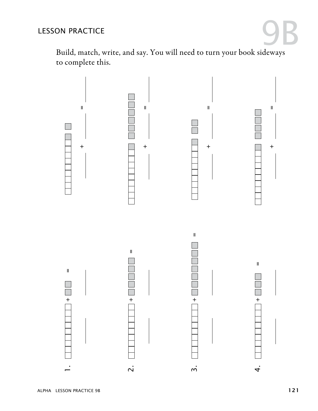

Build, match, write, and say. You will need to turn your book sideways to complete this.

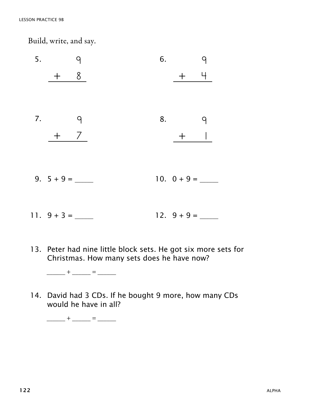Build, write, and say.



13. Peter had nine little block sets. He got six more sets for Christmas. How many sets does he have now?

 $\frac{1}{\sqrt{2}}$  +  $\frac{1}{\sqrt{2}}$  =  $\frac{1}{\sqrt{2}}$ 

14. David had 3 CDs. If he bought 9 more, how many CDs would he have in all?

 $\frac{1}{2}$  +  $\frac{1}{2}$  =  $\frac{1}{2}$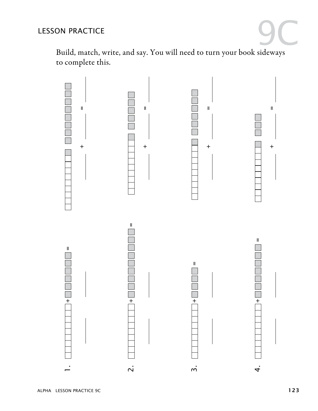## LESSON PRACTICE



Build, match, write, and say. You will need to turn your book sideways to complete this.

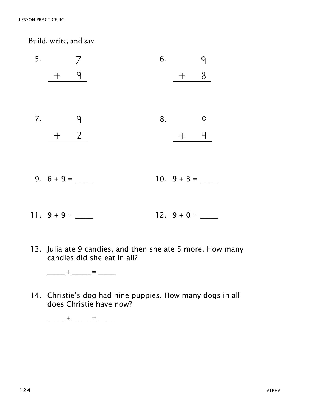Build, write, and say.

- 5. 7 + 9 6. + 8  $\overline{9}$ 7. 9  $+$  2 8. + 4 9 9. 6 + 9 = \_\_\_\_\_\_ 10. 9 + 3 = \_\_\_\_\_\_ 11.  $9 + 9 = 12. 9 + 0 =$
- 13. Julia ate 9 candies, and then she ate 5 more. How many candies did she eat in all?

 $\frac{1}{2}$  +  $\frac{1}{2}$  =  $\frac{1}{2}$ 

14. Christie's dog had nine puppies. How many dogs in all does Christie have now?

 $\frac{1}{2}$  +  $\frac{1}{2}$  =  $\frac{1}{2}$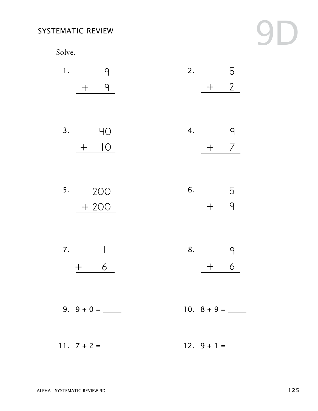## SYSTEMATIC REVIEW

Solve.



| 1. | q<br>9               | 2. | 5<br>$\overline{2}$<br>$\boldsymbol{+}$ |
|----|----------------------|----|-----------------------------------------|
| 3. | 4O<br>$\overline{O}$ | 4. | 9<br>7                                  |
| 5. | 200<br>$+200$        | 6. | 5<br>9                                  |
| 7. | 6                    | 8. | 9<br>6                                  |
|    |                      |    |                                         |
|    |                      |    |                                         |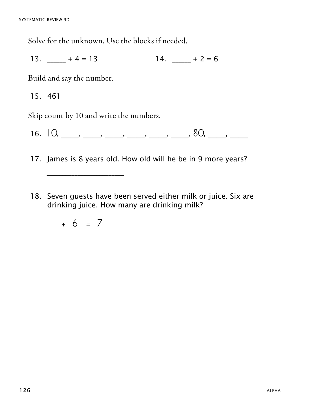Solve for the unknown. Use the blocks if needed.

13.  $-$  + 4 = 13 14.  $-$  + 2 = 6

Build and say the number.

15. 461

Skip count by 10 and write the numbers.

16.  $10, \_\_\_\_\_\_\_\_\_\_\_\_\_\_\_\_\_\_\_\_\_\_\_\_\_\_\_$ 

17. James is 8 years old. How old will he be in 9 more years?

18. Seven guests have been served either milk or juice. Six are drinking juice. How many are drinking milk?

$$
\underline{\qquad} + \underline{6} = \underline{7}
$$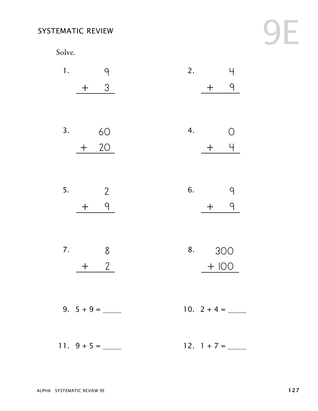#### SYSTEMATIC REVIEW

Solve.

1. 9 + 3 2. 4 + 9 3. 60 + 20 4.  $+$  4 0 5. 2 + 9 6. 9 + 9 7. 8  $+$  2 8. 300 + 100 9. 5 + 9 = \_\_\_\_\_\_ 10. 2 + 4 = \_\_\_\_\_\_ 11. 9 + 5 = \_\_\_\_\_\_ 12. 1 + 7 = \_\_\_\_\_\_

9E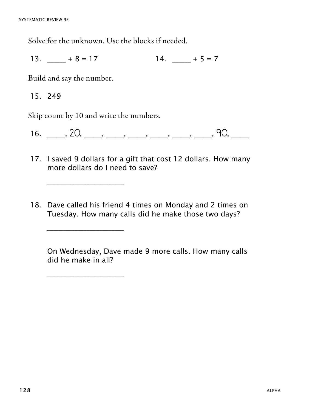Solve for the unknown. Use the blocks if needed.

13.  $-$  + 8 = 17 14.  $-$  + 5 = 7

Build and say the number.

15. 249

Skip count by 10 and write the numbers.

\_\_\_\_\_\_\_\_\_\_\_\_\_\_\_\_\_\_\_\_\_\_\_\_\_

\_\_\_\_\_\_\_\_\_\_\_\_\_\_\_\_\_\_\_\_\_\_\_\_\_

\_\_\_\_\_\_\_\_\_\_\_\_\_\_\_\_\_\_\_\_\_\_\_\_\_

16. \_\_, 20, \_\_, \_\_, \_\_, \_\_, \_\_, \_\_, 90, \_\_

- 17. I saved 9 dollars for a gift that cost 12 dollars. How many more dollars do I need to save?
- 18. Dave called his friend 4 times on Monday and 2 times on Tuesday. How many calls did he make those two days?

 On Wednesday, Dave made 9 more calls. How many calls did he make in all?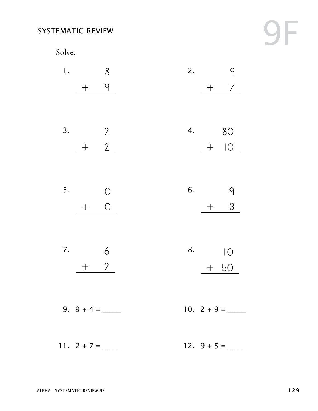## SYSTEMATIC REVIEW

Solve.

9F

| 1. |                  | 8              |  | 2. |       |                   |
|----|------------------|----------------|--|----|-------|-------------------|
|    | $\boldsymbol{+}$ | 9              |  |    | $\pm$ | 7                 |
|    |                  |                |  |    |       |                   |
| 3. |                  | $\overline{2}$ |  | 4. |       | 80                |
|    |                  | 2 <sup>7</sup> |  |    | $\pm$ | $\overline{O}$    |
|    |                  |                |  |    |       |                   |
| 5. |                  | O              |  | 6. |       | 9                 |
|    | $\bm{+}$         | $\overline{O}$ |  |    | $\pm$ | 3                 |
|    |                  |                |  |    |       |                   |
| 7. |                  | 6              |  | 8. |       | $\overline{\big)$ |
|    |                  | 2 <sup>7</sup> |  |    |       | $+50$             |
|    |                  |                |  |    |       |                   |
|    |                  |                |  |    |       |                   |
|    |                  |                |  |    |       |                   |
|    |                  |                |  |    |       | 12. $9 + 5 =$     |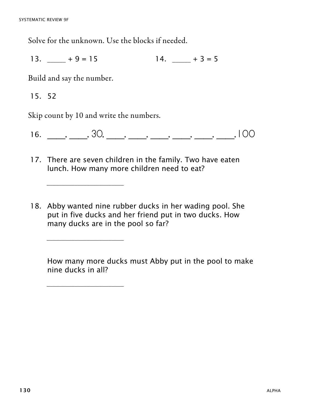Solve for the unknown. Use the blocks if needed.

13.  $+9 = 15$  14.  $+3 = 5$ 

Build and say the number.

15. 52

Skip count by 10 and write the numbers.

\_\_\_\_\_\_\_\_\_\_\_\_\_\_\_\_\_\_\_\_\_\_\_\_\_

\_\_\_\_\_\_\_\_\_\_\_\_\_\_\_\_\_\_\_\_\_\_\_\_\_

\_\_\_\_\_\_\_\_\_\_\_\_\_\_\_\_\_\_\_\_\_\_\_\_\_

16.  $\frac{16}{2}$ ,  $\frac{30}{2}$ ,  $\frac{30}{2}$ ,  $\frac{100}{2}$ 

- 17. There are seven children in the family. Two have eaten lunch. How many more children need to eat?
- 18. Abby wanted nine rubber ducks in her wading pool. She put in five ducks and her friend put in two ducks. How many ducks are in the pool so far?

 How many more ducks must Abby put in the pool to make nine ducks in all?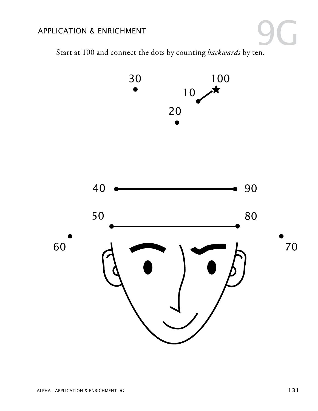## APPLICATION & ENRICHMENT

Start at 100 and connect the dots by counting *backwards* by ten. 9G

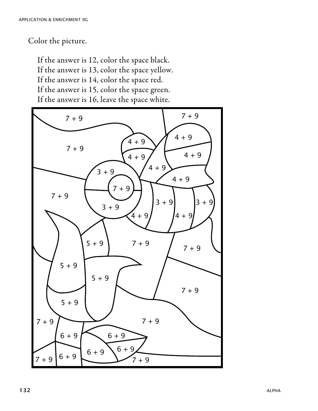Color the picture.

If the answer is 12, color the space black. If the answer is 13, color the space yellow. If the answer is 14, color the space red. If the answer is 15, color the space green. If the answer is 16, leave the space white.

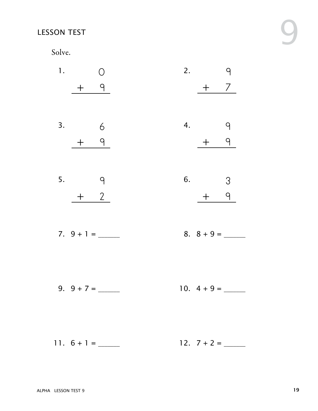## LESSON TEST

Solve.

| 1. |               |                 | 2. |               | ျာ                      |  |
|----|---------------|-----------------|----|---------------|-------------------------|--|
|    | $+$ 9         |                 |    |               | $+$ 7                   |  |
|    |               |                 |    |               |                         |  |
| 3. |               | $6\overline{6}$ | 4. |               | $\mathsf{P}$            |  |
|    | $+$ 9         |                 |    | $+$ $-$       | 9                       |  |
|    |               |                 |    |               |                         |  |
| 5. |               | $\overline{q}$  | 6. |               | $\overline{\mathbf{3}}$ |  |
|    | $+$ 2         |                 |    | $\pm$         | 9                       |  |
|    |               |                 |    |               |                         |  |
|    | 7. $9 + 1 =$  |                 |    | 8. $8 + 9 =$  |                         |  |
|    |               |                 |    |               |                         |  |
|    |               |                 |    |               |                         |  |
|    | 9. $9 + 7 =$  |                 |    | 10. $4 + 9 =$ |                         |  |
|    |               |                 |    |               |                         |  |
|    |               |                 |    |               |                         |  |
|    | 11. $6 + 1 =$ |                 |    | $12. 7 + 2 =$ |                         |  |

9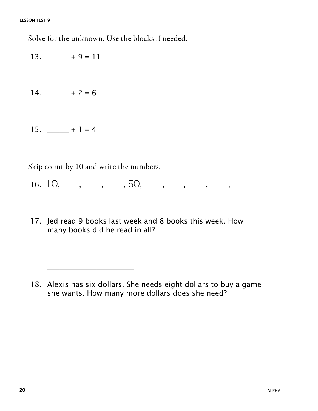Solve for the unknown. Use the blocks if needed.

13.  $+9 = 11$ 

- 14.  $-$  + 2 = 6
- 15.  $+1 = 4$

Skip count by 10 and write the numbers.

- 16.  $10, \_\_\_\_\,, \_\_\_\_\,, 50, \_\_\_\_\_\,, \_\_\_\_\,\_$
- 17. Jed read 9 books last week and 8 books this week. How many books did he read in all?

<sup>18.</sup> Alexis has six dollars. She needs eight dollars to buy a game she wants. How many more dollars does she need?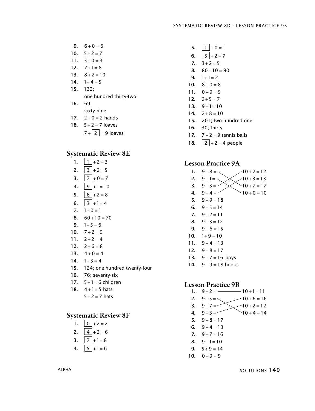- **9.**  $6+0=6$
- 10.  $5 + 2 = 7$
- 11.  $3+0=3$
- 12.  $7+1=8$
- 13.  $8 + 2 = 10$
- 14.  $1+4=5$
- 15. 132; one hundred thirty-two
- 16. 69;
- sixty-nine
- 17.  $2 + 0 = 2$  hands
- 18.  $5 + 2 = 7$  loaves
	- $7 + 2 = 9$  loaves

#### Systematic Review 8E

- 1.  $\boxed{1} + 2 = 3$ **2.**  $\begin{bmatrix} 3 \\ +2 \\ =5 \end{bmatrix}$ 3.  $7 + 0 = 7$ 4.  $9 + 1 = 10$ 5.  $6 + 2 = 8$ 6.  $3 + 1 = 4$ 7.  $1+0=1$ 8.  $60 + 10 = 70$ **9.**  $1+5=6$ 10.  $7 + 2 = 9$ 11.  $2+2=4$ 12.  $2+6=8$
- 13.  $4+0=4$
- 14.  $1+3=4$
- 15. 124; one hundred twenty-four
- 16. 76; seventy-six
- 17.  $5 + 1 = 6$  children
- 18.  $4+1=5$  hats
	- $5 + 2 = 7$  hats

#### Systematic Review 8F

- 1.  $\boxed{0}$  + 2 = 2
- 2.  $4 + 2 = 6$
- 3.  $|7|+1=8$
- 4.  $5 + 1 = 6$
- 5.  $1 + 0 = 1$
- 6.  $5 + 2 = 7$
- 7.  $3+2=5$
- 8.  $80 + 10 = 90$
- 9.  $1+1=2$
- 10.  $8 + 0 = 8$
- 11.  $0+9=9$
- 12.  $2+5=7$
- 13.  $9+1=10$
- 14.  $2+8=10$
- 15. 201; two hundred one
- 16. 30; thirty
- 17.  $7+2=9$  tennis balls
- 18.  $\boxed{2} + 2 = 4$  people

#### Lesson Practice 9A Lesson Practice 9A

1.  $9+8=$ 2.  $9+1=$ 3.  $9+3=$ 4.  $9+4=$ 5.  $9+9=18$ 6.  $9+5=14$ 7.  $9+2=11$ 8.  $9+3=12$ 9.  $9+6=15$ 10.  $1+9=10$ 11.  $9+4=13$ 12.  $9+8=17$ 13.  $9+7=16$  boys 14.  $9 + 9 = 18$  books  $9+8=\begin{matrix} 9+8=12 \end{matrix}$ 9 + 1 =  $\diagdown$   $\diagup$   $\diagup$  10 + 3 = 13  $9+3=<\times$   $>10+7=17$  $9 + 4 = 10 + 0 = 10$ 

#### Lesson Practice 9B Lesson Practice 9b

1.  $9+2 =$   $10+1=11$ 2.  $9+5=\sqrt{2}$ 3.  $9+7=-$ 4.  $9+3=$   $10+4=$ 5.  $9+8=17$ 6.  $9+4=13$  $7. \quad 9+7=16$ 8.  $9+1=10$ 9.  $5+9=14$ 10.  $0+9=9$  $9+5=\sqrt{10+6}=16$  $9+7 = 10+2 = 12$  $10 + 4 = 14$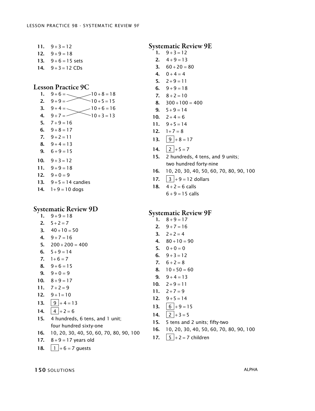- 11.  $9+3=12$
- 12.  $9+9=18$
- 13.  $9 + 6 = 15$  sets
- 14.  $9 + 3 = 12$  CDs

## Lesson Practice 9C Lesson Practice 9c Lesson Practice 9c

- 1. 1. 2. 2. 3. 3. 4. 4. 5.  $7+9=16$ 6.  $9+8=17$ 7.  $9+2=11$ 8.  $9+4=13$ **9.**  $6+9=15$ 10.  $9 + 3 = 12$ 11.  $9+9=18$ 12.  $9 + 0 = 9$  $9+6 =$   $-10+8=18$  $9+9=$  - 10 + 5 = 15  $9 + 4 =$   $-10 + 6 = 16$  $9+7 = 10+3 = 13$
- 13.  $9 + 5 = 14$  candies
- 14.  $1+9=10$  dogs

## Systematic Review 9D

- 1.  $9+9=18$
- 2.  $5+2=7$
- 3.  $40+10=50$
- 4.  $9+7=16$
- $5. \quad 200 + 200 = 400$
- 6.  $5+9=14$
- 7.  $1+6=7$ 8.  $9+6=15$
- **9.**  $9+0=9$
- 10.  $8 + 9 = 17$
- 11.  $7+2=9$
- 12.  $9+1=10$
- 13.  $9 + 4 = 13$
- 14.  $4 + 2 = 6$
- 15. 4 hundreds, 6 tens, and 1 unit; four hundred sixty-one
- 16. 10, 20, 30, 40, 50, 60, 70, 80, 90, 100
- 17.  $8 + 9 = 17$  years old
- 18.  $\boxed{1} + 6 = 7$  guests

## Systematic Review 9E

- 1.  $9 + 3 = 12$
- 2.  $4+9=13$
- 3.  $60 + 20 = 80$
- 4.  $0+4=4$
- 5.  $2+9=11$
- 6.  $9+9=18$
- 7.  $8 + 2 = 10$ **8.**  $300 + 100 = 400$
- **9.**  $5+9=14$
- 10.  $2+4=6$
- 11.  $9+5=14$
- 12.  $1+7=8$
- 13. 13.  $\boxed{9}$  + 8 = 17
- 14. 14.  $\boxed{2} + 5 = 7$
- 15. 2 hundreds, 4 tens, and 9 units; 15. 2 hundreds, 4 tens, and 9 units; two hundred forty-nine two hundred forty-nine
- 16. 10, 20, 30, 40, 50, 60, 70, 80, 90, 100 16. 10, 20, 30, 40, 50, 60, 70, 80, 90, 100
- 17. 17.  $3 + 9 = 12$  dollars
- 18. 18.  $4 + 2 = 6$  calls
	- $6 + 9 = 15$  calls

## Systematic Review 9F

- 1.  $8 + 9 = 17$
- 2.  $9+7=16$
- 3.  $2+2=4$  $4. \quad 80 + 10 = 90$
- 5.  $0+0=0$
- 6.  $9+3=12$
- 7.  $6+2=8$
- 8.  $10+50=60$
- 9.  $9+4=13$
- 10.  $2+9=11$
- 11.  $2+7=9$
- 12.  $9 + 5 = 14$
- 13.  $6 \mid +9 = 15$
- 14.  $2 + 3 = 5$
- 15. 5 tens and 2 units; fifty-two
- 16. 10, 20, 30, 40, 50, 60, 70, 80, 90, 100
- 17.  $\boxed{5}$  + 2 = 7 children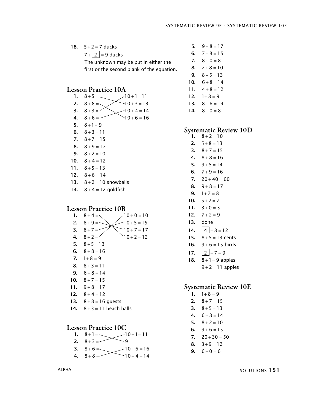18.  $5+2=7$  ducks  $7 + 2 = 9$  ducks The unknown may be put in either the first or the second blank of the equation.

#### Lesson Practice 10A

- 1.  $8+5 = \sqrt{10+1} = 11$ 2.  $8+8=$ 3.  $8 + 3 = 7$ 4.  $8+6=$ 5.  $8 + 1 = 9$ 6.  $8 + 3 = 11$ 7.  $8 + 7 = 15$ 8.  $8+9=17$ 9.  $8 + 2 = 10$ 10.  $8 + 4 = 12$ 11.  $8+5=13$  $8 + 8 = \sqrt{10 + 3} = 13$  $8 + 3 = 10 + 4 = 14$  $8 + 6 = 16$
- 12.  $8+6=14$
- 13.  $8 + 2 = 10$  snowballs
- 14.  $8 + 4 = 12$  goldfish

#### Lesson Practice 10B

- 1.  $8 + 4 = \sqrt{ }$ 2. 3.  $8 + 7 = 7$ 4.  $8+2=$ 5.  $8 + 5 = 13$ 6.  $8+8=16$ 7.  $1+8=9$ 8.  $8+3=11$ 9.  $6+8=14$ 10.  $8 + 7 = 15$  $8 + 4 = \sqrt{10 + 0} = 10$  $8 + 9 = \sqrt{\frac{10+5}{5}} = 15$  $8+7 = 7$  10+7=17  $8 + 2 = 7$   $10 + 2 = 12$
- 11.  $9+8=17$
- 12.  $8 + 4 = 12$
- 13.  $8 + 8 = 16$  guests
- 14.  $8 + 3 = 11$  beach balls

#### Lesson Practice 10C

- 1.  $8+1=\sqrt{10+1}=11$
- 2. 8 3 9 + =
- 3.  $8+6 =$  $8 + 6 = 10 + 6 = 16$  $+6 = -20 + 6 =$
- 4.  $8+8=$  $8 + 8 = 10 + 4 = 14$  $+8 = 10 + 4 =$
- 5.  $9+8=17$ 6.  $7+8=15$ 7.  $8 + 0 = 8$ 8.  $2+8=10$ 9.  $8 + 5 = 13$
- 10.  $6+8=14$
- 11.  $4+8=12$
- 12.  $1+8=9$
- 13.  $8+6=14$
- 14.  $8 + 0 = 8$

### Systematic Review 10D

- 1.  $8 + 2 = 10$
- 2.  $5+8=13$
- 3.  $8 + 7 = 15$
- 4.  $8+8=16$
- 5.  $9+5=14$
- 6.  $7+9=16$
- $7. \quad 20 + 40 = 60$
- 8.  $9+8=17$
- 9.  $1+7=8$
- 10.  $5 + 2 = 7$
- 11.  $3+0=3$
- 12.  $7+2=9$
- 13. done
- 14.  $4 + 8 = 12$
- 15.  $8 + 5 = 13$  cents
- 16.  $9 + 6 = 15$  birds
- 17.  $2 + 7 = 9$
- 18.  $8 + 1 = 9$  apples
	- $9 + 2 = 11$  apples

#### Systematic Review 10E

- 1.  $1+8=9$
- 2.  $8 + 7 = 15$
- 3.  $8 + 5 = 13$
- 4.  $6+8=14$
- 5.  $8 + 2 = 10$
- 6.  $9+6=15$
- $7. \quad 20 + 30 = 50$
- 8.  $3+9=12$
- **9.**  $6+0=6$